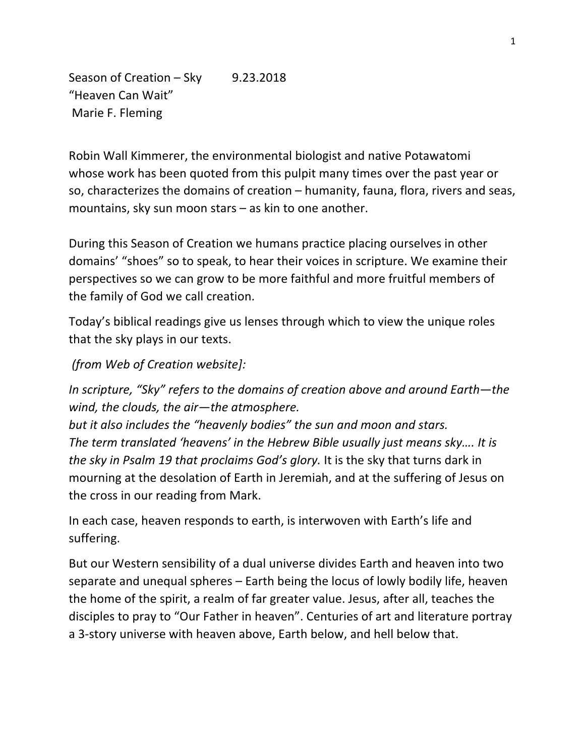Season of Creation – Sky 9.23.2018 "Heaven Can Wait" Marie F. Fleming

Robin Wall Kimmerer, the environmental biologist and native Potawatomi whose work has been quoted from this pulpit many times over the past year or so, characterizes the domains of creation – humanity, fauna, flora, rivers and seas, mountains, sky sun moon stars – as kin to one another.

During this Season of Creation we humans practice placing ourselves in other domains' "shoes" so to speak, to hear their voices in scripture. We examine their perspectives so we can grow to be more faithful and more fruitful members of the family of God we call creation.

Today's biblical readings give us lenses through which to view the unique roles that the sky plays in our texts.

*(from Web of Creation website]:*

*In scripture, "Sky" refers to the domains of creation above and around Earth—the wind, the clouds, the air—the atmosphere.* 

*but it also includes the "heavenly bodies" the sun and moon and stars. The term translated 'heavens' in the Hebrew Bible usually just means sky…. It is the sky in Psalm 19 that proclaims God's glory.* It is the sky that turns dark in mourning at the desolation of Earth in Jeremiah, and at the suffering of Jesus on the cross in our reading from Mark.

In each case, heaven responds to earth, is interwoven with Earth's life and suffering.

But our Western sensibility of a dual universe divides Earth and heaven into two separate and unequal spheres – Earth being the locus of lowly bodily life, heaven the home of the spirit, a realm of far greater value. Jesus, after all, teaches the disciples to pray to "Our Father in heaven". Centuries of art and literature portray a 3-story universe with heaven above, Earth below, and hell below that.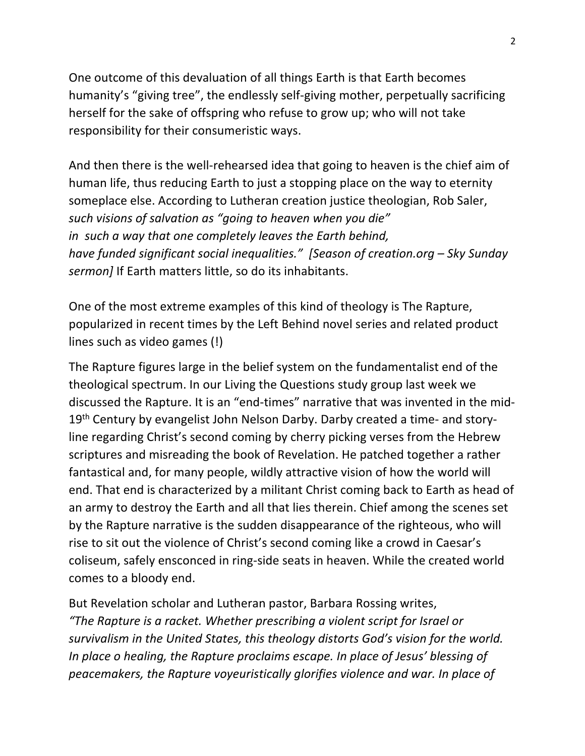One outcome of this devaluation of all things Earth is that Earth becomes humanity's "giving tree", the endlessly self-giving mother, perpetually sacrificing herself for the sake of offspring who refuse to grow up; who will not take responsibility for their consumeristic ways.

And then there is the well-rehearsed idea that going to heaven is the chief aim of human life, thus reducing Earth to just a stopping place on the way to eternity someplace else. According to Lutheran creation justice theologian, Rob Saler, *such visions of salvation as "going to heaven when you die" in such a way that one completely leaves the Earth behind, have funded significant social inequalities." [Season of creation.org – Sky Sunday sermon]* If Earth matters little, so do its inhabitants.

One of the most extreme examples of this kind of theology is The Rapture, popularized in recent times by the Left Behind novel series and related product lines such as video games (!)

The Rapture figures large in the belief system on the fundamentalist end of the theological spectrum. In our Living the Questions study group last week we discussed the Rapture. It is an "end-times" narrative that was invented in the mid-19<sup>th</sup> Century by evangelist John Nelson Darby. Darby created a time- and storyline regarding Christ's second coming by cherry picking verses from the Hebrew scriptures and misreading the book of Revelation. He patched together a rather fantastical and, for many people, wildly attractive vision of how the world will end. That end is characterized by a militant Christ coming back to Earth as head of an army to destroy the Earth and all that lies therein. Chief among the scenes set by the Rapture narrative is the sudden disappearance of the righteous, who will rise to sit out the violence of Christ's second coming like a crowd in Caesar's coliseum, safely ensconced in ring-side seats in heaven. While the created world comes to a bloody end.

But Revelation scholar and Lutheran pastor, Barbara Rossing writes, *"The Rapture is a racket. Whether prescribing a violent script for Israel or survivalism in the United States, this theology distorts God's vision for the world. In place o healing, the Rapture proclaims escape. In place of Jesus' blessing of peacemakers, the Rapture voyeuristically glorifies violence and war. In place of*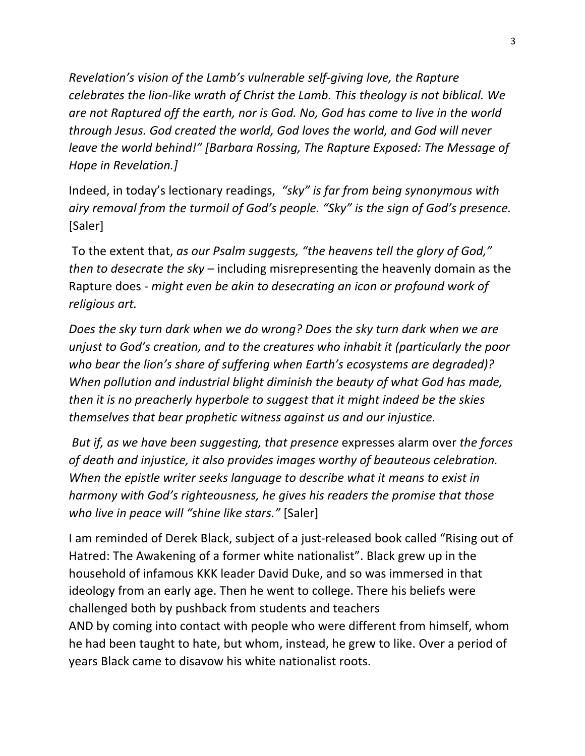*Revelation's vision of the Lamb's vulnerable self-giving love, the Rapture celebrates the lion-like wrath of Christ the Lamb. This theology is not biblical. We are not Raptured off the earth, nor is God. No, God has come to live in the world through Jesus. God created the world, God loves the world, and God will never leave the world behind!" [Barbara Rossing, The Rapture Exposed: The Message of Hope in Revelation.]*

Indeed, in today's lectionary readings, *"sky" is far from being synonymous with airy removal from the turmoil of God's people. "Sky" is the sign of God's presence.*  [Saler]

To the extent that, *as our Psalm suggests, "the heavens tell the glory of God," then to desecrate the sky* – including misrepresenting the heavenly domain as the Rapture does - *might even be akin to desecrating an icon or profound work of religious art.*

*Does the sky turn dark when we do wrong? Does the sky turn dark when we are unjust to God's creation, and to the creatures who inhabit it (particularly the poor who bear the lion's share of suffering when Earth's ecosystems are degraded)? When pollution and industrial blight diminish the beauty of what God has made, then it is no preacherly hyperbole to suggest that it might indeed be the skies themselves that bear prophetic witness against us and our injustice.* 

*But if, as we have been suggesting, that presence* expresses alarm over *the forces of death and injustice, it also provides images worthy of beauteous celebration. When the epistle writer seeks language to describe what it means to exist in harmony with God's righteousness, he gives his readers the promise that those who live in peace will "shine like stars."* [Saler]

I am reminded of Derek Black, subject of a just-released book called "Rising out of Hatred: The Awakening of a former white nationalist". Black grew up in the household of infamous KKK leader David Duke, and so was immersed in that ideology from an early age. Then he went to college. There his beliefs were challenged both by pushback from students and teachers AND by coming into contact with people who were different from himself, whom he had been taught to hate, but whom, instead, he grew to like. Over a period of years Black came to disavow his white nationalist roots.